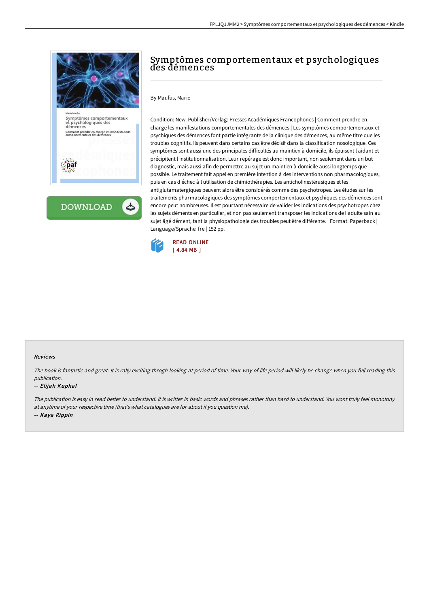

**DOWNLOAD** 

# Symptômes comportementaux et psychologiques des démences

#### By Maufus, Mario

Condition: New. Publisher/Verlag: Presses Académiques Francophones | Comment prendre en charge les manifestations comportementales des démences | Les symptômes comportementaux et psychiques des démences font partie intégrante de la clinique des démences, au même titre que les troubles cognitifs. Ils peuvent dans certains cas être décisif dans la classification nosologique. Ces symptômes sont aussi une des principales difficultés au maintien à domicile, ils épuisent l aidant et précipitent l institutionnalisation. Leur repérage est donc important, non seulement dans un but diagnostic, mais aussi afin de permettre au sujet un maintien à domicile aussi longtemps que possible. Le traitement fait appel en première intention à des interventions non pharmacologiques, puis en cas d échec à l utilisation de chimiothérapies. Les anticholinestérasiques et les antiglutamatergiques peuvent alors être considérés comme des psychotropes. Les études sur les traitements pharmacologiques des symptômes comportementaux et psychiques des démences sont encore peut nombreuses. Il est pourtant nécessaire de valider les indications des psychotropes chez les sujets déments en particulier, et non pas seulement transposer les indications de l adulte sain au sujet âgé dément, tant la physiopathologie des troubles peut être différente. | Format: Paperback | Language/Sprache: fre | 152 pp.



#### Reviews

The book is fantastic and great. It is rally exciting throgh looking at period of time. Your way of life period will likely be change when you full reading this publication.

#### -- Elijah Kuphal

The publication is easy in read better to understand. It is writter in basic words and phrases rather than hard to understand. You wont truly feel monotony at anytime of your respective time (that's what catalogues are for about if you question me). -- Kaya Rippin